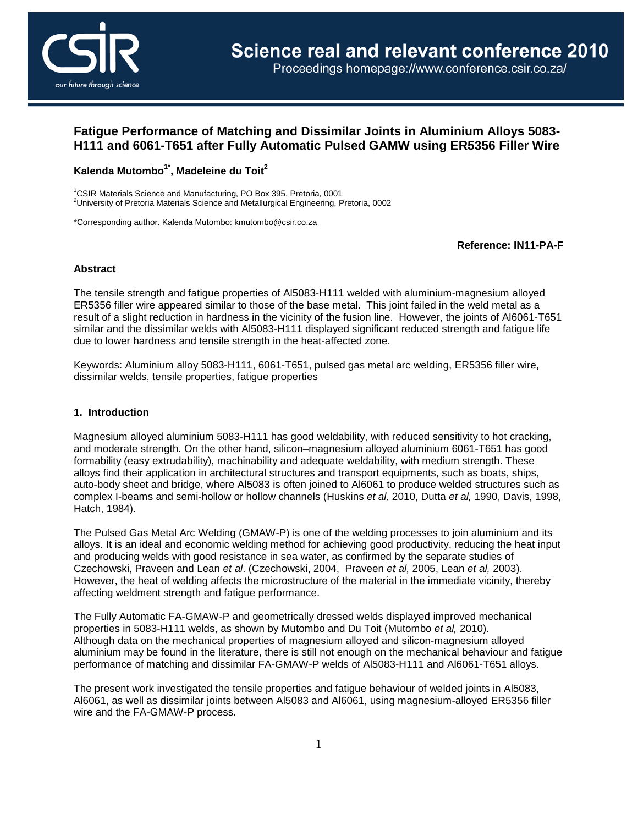

# **Fatigue Performance of Matching and Dissimilar Joints in Aluminium Alloys 5083- H111 and 6061-T651 after Fully Automatic Pulsed GAMW using ER5356 Filler Wire**

## **Kalenda Mutombo1\*, Madeleine du Toit2**

1 CSIR Materials Science and Manufacturing, PO Box 395, Pretoria, 0001 2 University of Pretoria Materials Science and Metallurgical Engineering, Pretoria, 0002

\*Corresponding author. Kalenda Mutombo: kmutombo@csir.co.za

**Reference: IN11-PA-F**

#### **Abstract**

The tensile strength and fatigue properties of Al5083-H111 welded with aluminium-magnesium alloyed ER5356 filler wire appeared similar to those of the base metal. This joint failed in the weld metal as a result of a slight reduction in hardness in the vicinity of the fusion line. However, the joints of Al6061-T651 similar and the dissimilar welds with Al5083-H111 displayed significant reduced strength and fatigue life due to lower hardness and tensile strength in the heat-affected zone.

Keywords: Aluminium alloy 5083-H111, 6061-T651, pulsed gas metal arc welding, ER5356 filler wire, dissimilar welds, tensile properties, fatigue properties

### **1. Introduction**

Magnesium alloyed aluminium 5083-H111 has good weldability, with reduced sensitivity to hot cracking, and moderate strength. On the other hand, silicon–magnesium alloyed aluminium 6061-T651 has good formability (easy extrudability), machinability and adequate weldability, with medium strength. These alloys find their application in architectural structures and transport equipments, such as boats, ships, auto-body sheet and bridge, where Al5083 is often joined to Al6061 to produce welded structures such as complex I-beams and semi-hollow or hollow channels (Huskins *et al,* 2010, Dutta *et al,* 1990, Davis, 1998, Hatch, 1984).

The Pulsed Gas Metal Arc Welding (GMAW-P) is one of the welding processes to join aluminium and its alloys. It is an ideal and economic welding method for achieving good productivity, reducing the heat input and producing welds with good resistance in sea water, as confirmed by the separate studies of Czechowski, Praveen and Lean *et al*. (Czechowski, 2004, Praveen *et al,* 2005, Lean *et al,* 2003). However, the heat of welding affects the microstructure of the material in the immediate vicinity, thereby affecting weldment strength and fatigue performance.

The Fully Automatic FA-GMAW-P and geometrically dressed welds displayed improved mechanical properties in 5083-H111 welds, as shown by Mutombo and Du Toit (Mutombo *et al,* 2010). Although data on the mechanical properties of magnesium alloyed and silicon-magnesium alloyed aluminium may be found in the literature, there is still not enough on the mechanical behaviour and fatigue performance of matching and dissimilar FA-GMAW-P welds of Al5083-H111 and Al6061-T651 alloys.

The present work investigated the tensile properties and fatigue behaviour of welded joints in Al5083, Al6061, as well as dissimilar joints between Al5083 and Al6061, using magnesium-alloyed ER5356 filler wire and the FA-GMAW-P process.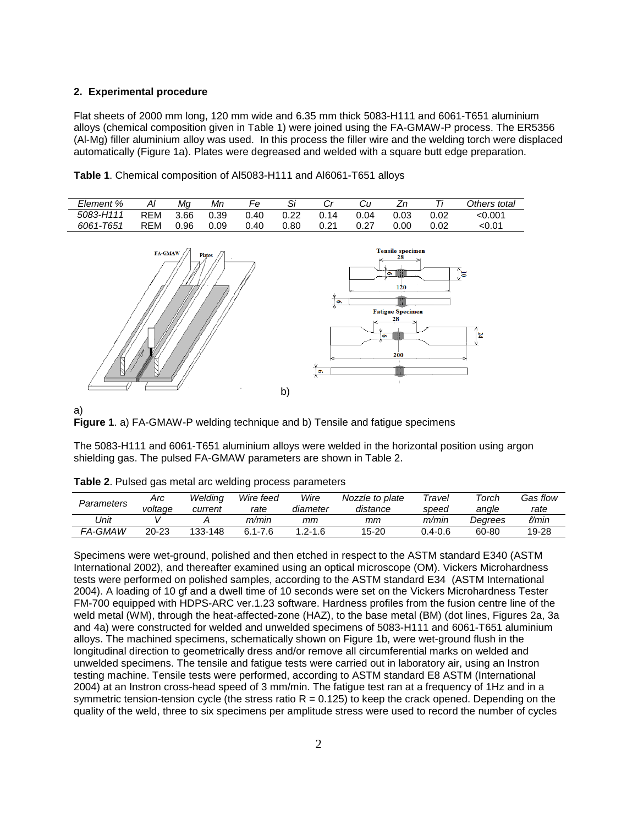#### **2. Experimental procedure**

Flat sheets of 2000 mm long, 120 mm wide and 6.35 mm thick 5083-H111 and 6061-T651 aluminium alloys (chemical composition given in Table 1) were joined using the FA-GMAW-P process. The ER5356 (Al-Mg) filler aluminium alloy was used. In this process the filler wire and the welding torch were displaced automatically (Figure 1a). Plates were degreased and welded with a square butt edge preparation.



**Table 1**. Chemical composition of Al5083-H111 and Al6061-T651 alloys



#### a)



The 5083-H111 and 6061-T651 aluminium alloys were welded in the horizontal position using argon shielding gas. The pulsed FA-GMAW parameters are shown in Table 2.

| Parameters | Arc<br>voltage | Weldina<br>current | Wire feed<br>rate | Wire<br>diameter | Nozzle to plate<br>distance | Travel<br>speed | $\tau$ orch<br>angle | Gas flow<br>rate |
|------------|----------------|--------------------|-------------------|------------------|-----------------------------|-----------------|----------------------|------------------|
| 'Jnit      |                |                    | m/min             | тт               | mт                          | m/min           | Dearees              | l/min            |
| FA-GMAW    | $20 - 23$      | 133-148            | $6.1 - 7.6$       | $1.2 - 1.6$      | $15 - 20$                   | $0.4 - 0.6$     | 60-80                | 19-28            |

Specimens were wet-ground, polished and then etched in respect to the ASTM standard E340 (ASTM International 2002), and thereafter examined using an optical microscope (OM). Vickers Microhardness tests were performed on polished samples, according to the ASTM standard E34 (ASTM International 2004). A loading of 10 gf and a dwell time of 10 seconds were set on the Vickers Microhardness Tester FM-700 equipped with HDPS-ARC ver.1.23 software. Hardness profiles from the fusion centre line of the weld metal (WM), through the heat-affected-zone (HAZ), to the base metal (BM) (dot lines, Figures 2a, 3a and 4a) were constructed for welded and unwelded specimens of 5083-H111 and 6061-T651 aluminium alloys. The machined specimens, schematically shown on Figure 1b, were wet-ground flush in the longitudinal direction to geometrically dress and/or remove all circumferential marks on welded and unwelded specimens. The tensile and fatigue tests were carried out in laboratory air, using an Instron testing machine. Tensile tests were performed, according to ASTM standard E8 ASTM (International 2004) at an Instron cross-head speed of 3 mm/min. The fatigue test ran at a frequency of 1Hz and in a symmetric tension-tension cycle (the stress ratio  $R = 0.125$ ) to keep the crack opened. Depending on the quality of the weld, three to six specimens per amplitude stress were used to record the number of cycles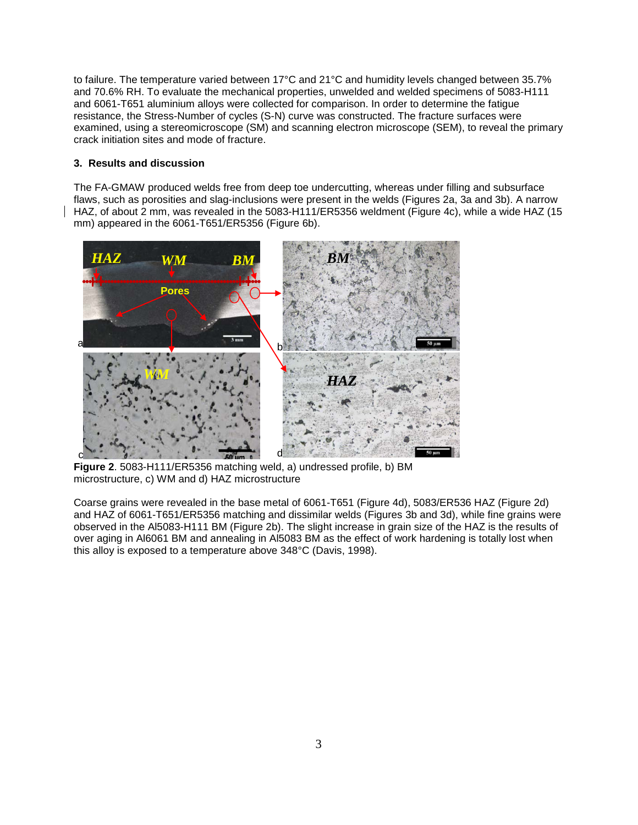to failure. The temperature varied between 17°C and 21°C and humidity levels changed between 35.7% and 70.6% RH. To evaluate the mechanical properties, unwelded and welded specimens of 5083-H111 and 6061-T651 aluminium alloys were collected for comparison. In order to determine the fatigue resistance, the Stress-Number of cycles (S-N) curve was constructed. The fracture surfaces were examined, using a stereomicroscope (SM) and scanning electron microscope (SEM), to reveal the primary crack initiation sites and mode of fracture.

### **3. Results and discussion**

The FA-GMAW produced welds free from deep toe undercutting, whereas under filling and subsurface flaws, such as porosities and slag-inclusions were present in the welds (Figures 2a, 3a and 3b). A narrow HAZ, of about 2 mm, was revealed in the 5083-H111/ER5356 weldment (Figure 4c), while a wide HAZ (15 mm) appeared in the 6061-T651/ER5356 (Figure 6b).



**Figure 2**. 5083-H111/ER5356 matching weld, a) undressed profile, b) BM microstructure, c) WM and d) HAZ microstructure

Coarse grains were revealed in the base metal of 6061-T651 (Figure 4d), 5083/ER536 HAZ (Figure 2d) and HAZ of 6061-T651/ER5356 matching and dissimilar welds (Figures 3b and 3d), while fine grains were observed in the Al5083-H111 BM (Figure 2b). The slight increase in grain size of the HAZ is the results of over aging in Al6061 BM and annealing in Al5083 BM as the effect of work hardening is totally lost when this alloy is exposed to a temperature above 348°C (Davis, 1998).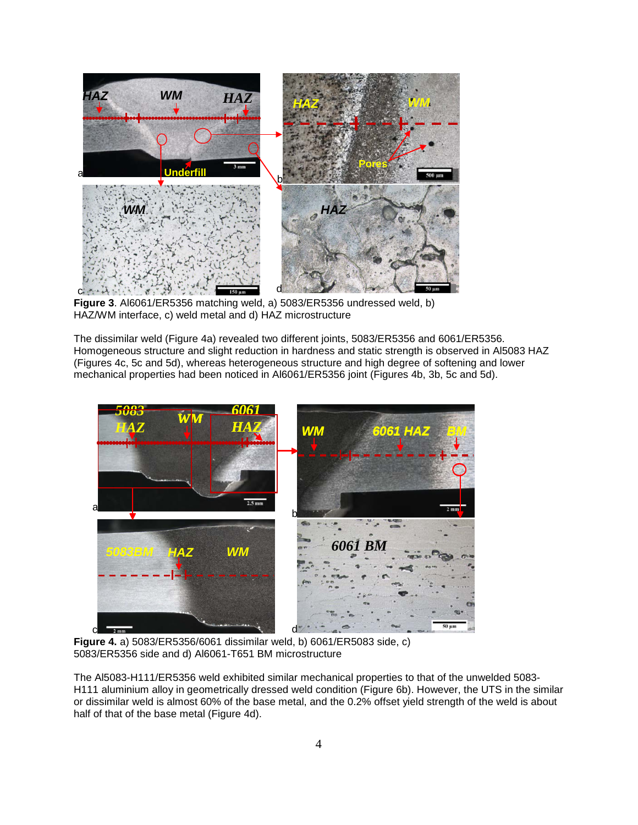

**Figure 3**. Al6061/ER5356 matching weld, a) 5083/ER5356 undressed weld, b) HAZ/WM interface, c) weld metal and d) HAZ microstructure

The dissimilar weld (Figure 4a) revealed two different joints, 5083/ER5356 and 6061/ER5356. Homogeneous structure and slight reduction in hardness and static strength is observed in Al5083 HAZ (Figures 4c, 5c and 5d), whereas heterogeneous structure and high degree of softening and lower mechanical properties had been noticed in Al6061/ER5356 joint (Figures 4b, 3b, 5c and 5d).



**Figure 4.** a) 5083/ER5356/6061 dissimilar weld, b) 6061/ER5083 side, c) 5083/ER5356 side and d) Al6061-T651 BM microstructure

The Al5083-H111/ER5356 weld exhibited similar mechanical properties to that of the unwelded 5083- H111 aluminium alloy in geometrically dressed weld condition (Figure 6b). However, the UTS in the similar or dissimilar weld is almost 60% of the base metal, and the 0.2% offset yield strength of the weld is about half of that of the base metal (Figure 4d).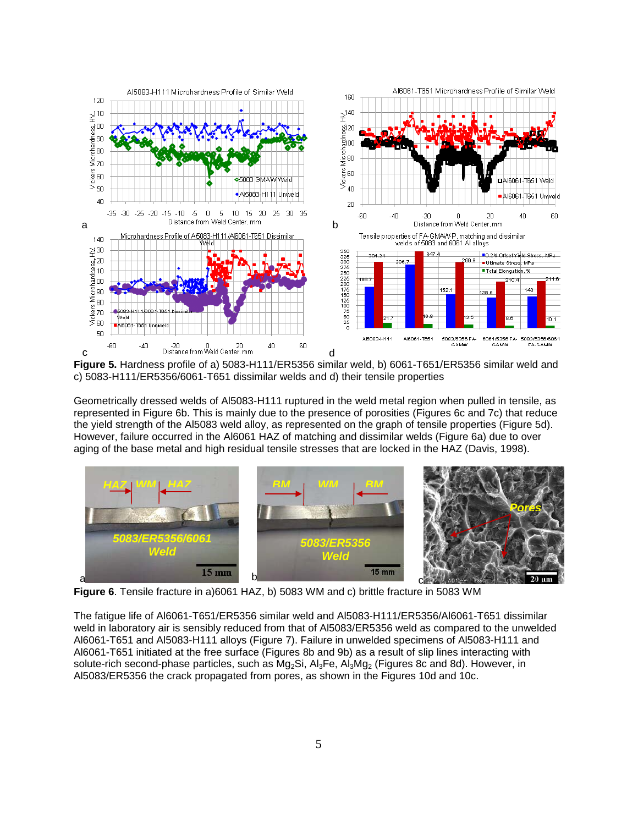

**Figure 5.** Hardness profile of a) 5083-H111/ER5356 similar weld, b) 6061-T651/ER5356 similar weld and c) 5083-H111/ER5356/6061-T651 dissimilar welds and d) their tensile properties

Geometrically dressed welds of Al5083-H111 ruptured in the weld metal region when pulled in tensile, as represented in Figure 6b. This is mainly due to the presence of porosities (Figures 6c and 7c) that reduce the yield strength of the Al5083 weld alloy, as represented on the graph of tensile properties (Figure 5d). However, failure occurred in the Al6061 HAZ of matching and dissimilar welds (Figure 6a) due to over aging of the base metal and high residual tensile stresses that are locked in the HAZ (Davis, 1998).



**Figure 6**. Tensile fracture in a)6061 HAZ, b) 5083 WM and c) brittle fracture in 5083 WM

The fatigue life of Al6061-T651/ER5356 similar weld and Al5083-H111/ER5356/Al6061-T651 dissimilar weld in laboratory air is sensibly reduced from that of Al5083/ER5356 weld as compared to the unwelded Al6061-T651 and Al5083-H111 alloys (Figure 7). Failure in unwelded specimens of Al5083-H111 and Al6061-T651 initiated at the free surface (Figures 8b and 9b) as a result of slip lines interacting with solute-rich second-phase particles, such as Mg<sub>2</sub>Si, Al<sub>3</sub>Fe, Al<sub>3</sub>Mg<sub>2</sub> (Figures 8c and 8d). However, in Al5083/ER5356 the crack propagated from pores, as shown in the Figures 10d and 10c.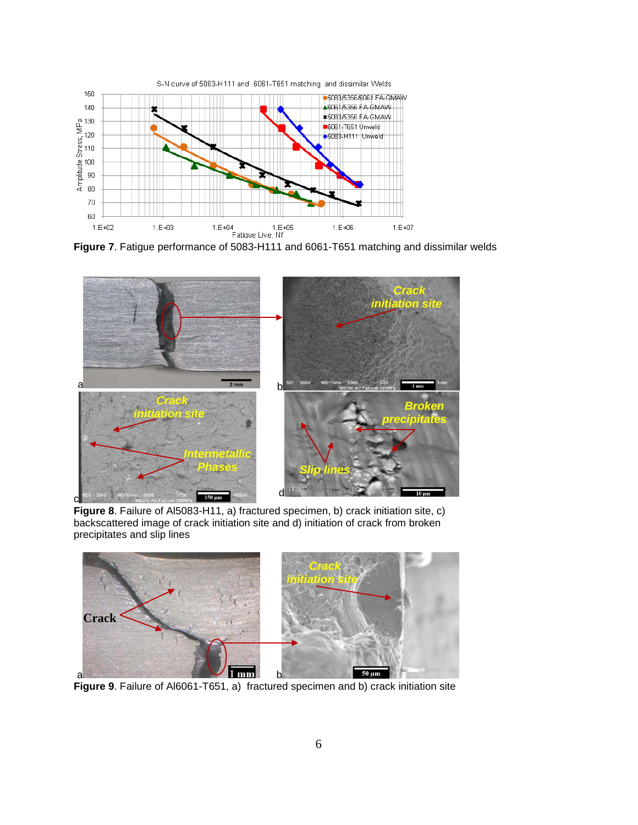

**Figure 7**. Fatigue performance of 5083-H111 and 6061-T651 matching and dissimilar welds



**Figure 8**. Failure of Al5083-H11, a) fractured specimen, b) crack initiation site, c) backscattered image of crack initiation site and d) initiation of crack from broken precipitates and slip lines



**Figure 9**. Failure of Al6061-T651, a) fractured specimen and b) crack initiation site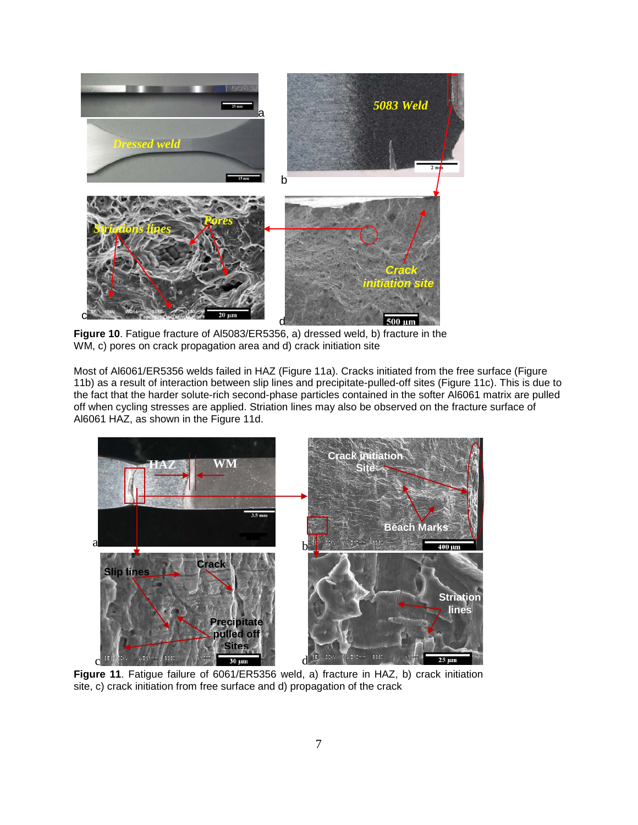

**Figure 10**. Fatigue fracture of Al5083/ER5356, a) dressed weld, b) fracture in the WM, c) pores on crack propagation area and d) crack initiation site

Most of Al6061/ER5356 welds failed in HAZ (Figure 11a). Cracks initiated from the free surface (Figure 11b) as a result of interaction between slip lines and precipitate-pulled-off sites (Figure 11c). This is due to the fact that the harder solute-rich second-phase particles contained in the softer Al6061 matrix are pulled off when cycling stresses are applied. Striation lines may also be observed on the fracture surface of Al6061 HAZ, as shown in the Figure 11d.



**Figure 11**. Fatigue failure of 6061/ER5356 weld, a) fracture in HAZ, b) crack initiation site, c) crack initiation from free surface and d) propagation of the crack